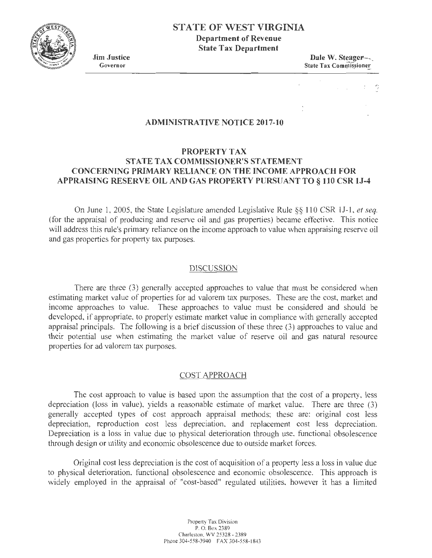

**State Tax Department** 

**Jim Justice**  Governor

**Dale W. SteageF--,**  State Tax Commissioner

## **ADMINISTRATIVE NOTICE 2017-10**

# **PROPERTY TAX STATE TAX COMMISSIONER'S STATEMENT CONCERNING PRIMARY RELIANCE ON THE INCOME APPROACH FOR APPRAJSING RESERVE OIL AND GAS PROPERTY PURSUANT TO§ 110 CSR lJ-4**

On June 1, 2005, the State Legislature amended Legislative Rule §§ 110 CSR IJ-1, *et seq.*  (for the appraisal of producing and reserve oil and gas properties) became effective. This notice will address this rule's primary reliance on the income approach to value when appraising reserve oil and gas properties for property tax purposes.

#### DISCUSSION

There are three (3) generally accepted approaches to value that must be considered when estimating market value of properties for ad valorem tax purposes. These are the cost, market and income approaches to value. These approaches to value must be considered and should be developed, if appropriate, to properly estimate market value in compliance with generally accepted appraisal principals. The following is a brief discussion of these three (3) approaches to value and their potential use when estimating the market value of reserve oil and gas natural resource properties for ad valorem tax purposes.

## COST APPROACH

The cost approach to value is based upon the assumption that the cost of a property, less depreciation (loss in value), yields a reasonable estimate of market value. There are three (3) generally accepted types of cost approach appraisal methods; these are: original cost less depreciation, reproduction cost less depreciation, and replacement cost less depreciation. Depreciation is a loss in value due to physical deterioration through use, functional obsolescence through design or utility and economic obsolescence due to outside market forces.

Original cost less depreciation is the cost of acquisition of a property less a loss in value due to physical deterioration, functional obsolescence and economic obsolescence. This approach is widely employed in the appraisal of "cost-based" regulated utilities, however it has a limited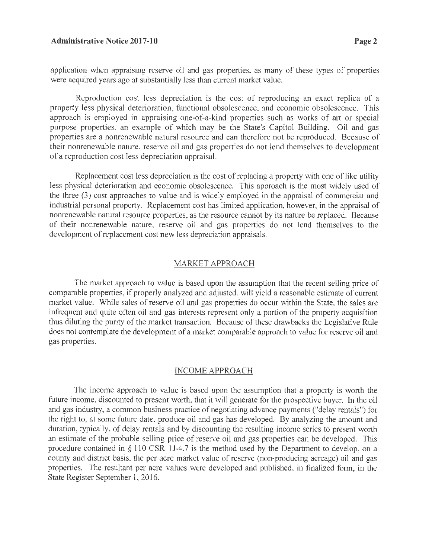application when appraising reserve oil and gas properties, as many of these types of properties were acquired years ago at substantially less than current market value.

Reproduction cost less depreciation is the cost of reproducing an exact replica of a property less physical deterioration, functional obsolescence, and economic obsolescence. This approach is employed in appraising one-of-a-kind properties such as works of art or special purpose properties, an example of which may be the State's Capitol Building. Oil and gas properties are a nonrenewable natural resource and can therefore not be reproduced. Because of their nonrenewable nature, reserve oil and gas properties do not lend themselves to development of a reproduction cost less depreciation appraisal.

Replacement cost less depreciation is the cost of replacing a property with one of like utility less physical deterioration and economic obsolescence. This approach is the most widely used of the three (3) cost approaches to value and is widely employed in the appraisal of commercial and industrial personal property. Replacement cost has limited application, however, in the appraisal of nonrenewable natural resource properties, as the resource cannot by its nature be replaced. Because of their nonrenewable nature, reserve oil and gas properties do not lend themselves to the development of replacement cost new less depreciation appraisals.

#### MARKET APPROACH

The market approach to value is based upon the assumption that the recent selling price of comparable properties, if properly analyzed and adjusted, will yield a reasonable estimate of current market value. While sales of reserve oil and gas properties do occur within the State, the sales are infrequent and quite often oil and gas interests represent only a portion of the property acquisition thus diluting the purity of the market transaction. Because of these drawbacks the Legislative Rule does not contemplate the development of a market comparable approach to value for reserve oil and gas properties.

#### INCOME APPROACH

The income approach to value is based upon the assumption that a property is worth the future income, discounted to present worth, that it will generate for the prospective buyer. In the oil and gas industry, a common business practice of negotiating advance payments ("delay rentals") for the right to, at some future date, produce oil and gas has developed. By analyzing the amount and duration, typically, of delay rentals and by discounting the resulting income series to present worth an estimate of the probable selling price of reserve oil and gas properties can be developed. This procedure contained in *§* 110 CSR lJ-4.7 is the method used by the Department to develop, on a county and district basis, the per acre market value of reserve (non-producing acreage) oil and gas properties. The resultant per acre values were developed and published, in finalized form, in the State Register September 1, 2016.